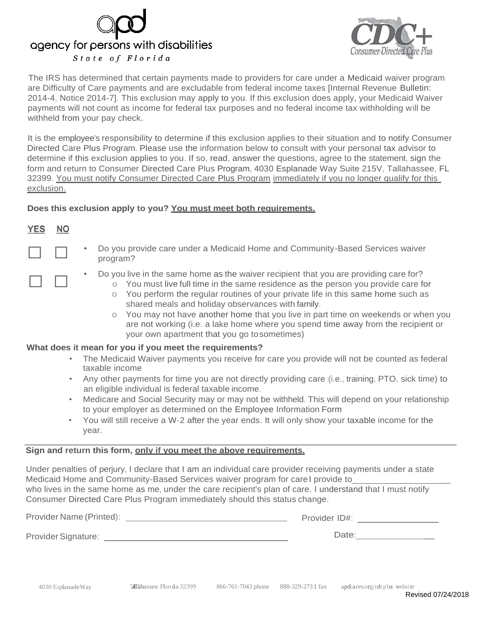



The IRS has determined that certain payments made to providers for care under a Medicaid waiver program are Difficulty of Care payments and are excludable from federal income taxes [Internal Revenue Bulletin: 2014-4, Notice 2014-7]. This exclusion may apply to you. If this exclusion does apply, your Medicaid Waiver payments will not count as income for federal tax purposes and no federal income tax withholding will be withheld from your pay check.

It is the employee's responsibility to determine if this exclusion applies to their situation and to notify Consumer Directed Care Plus Program. Please use the information below to consult with your personal tax advisor to determine if this exclusion applies to you. If so, read, answer the questions, agree to the statement, sign the form and return to Consumer Directed Care Plus Program, 4030 Esplanade Way Suite 215V, Tallahassee, FL 32399. You must notify Consumer Directed Care Plus Program immediately if you no longer qualify for this exclusion.

# **Does this exclusion apply to you? You must meet both requirements.**

| YES<br><b>NO</b> |                                       |  |
|------------------|---------------------------------------|--|
|                  | • Do you provide care und<br>program? |  |

□ □

- Do you provide care under a Medicaid Home and Community-Based Services waiver program?
	- Do you live in the same home as the waiver recipient that you are providing care for?
		- o You must live full time in the same residence as the person you provide care for o You perform the regular routines of your private life in this same home such as
			- shared meals and holiday observances with family.
			- o You may not have another home that you live in part time on weekends or when you are not working (i.e. a lake home where you spend time away from the recipient or your own apartment that you go tosometimes)

# **What does it mean for you if you meet the requirements?**

- The Medicaid Waiver payments you receive for care you provide will not be counted as federal taxable income
- Any other payments for time you are not directly providing care (i.e., training, PTO, sick time) to an eligible individual is federal taxable income.
- Medicare and Social Security may or may not be withheld. This will depend on your relationship to your employer as determined on the Employee Information Form
- You will still receive a W-2 after the year ends. It will only show your taxable income for the year.

# **Sign and return this form, only if you meet the above requirements.**

Under penalties of perjury, I declare that I am an individual care provider receiving payments under a state Medicaid Home and Community-Based Services waiver program for care I provide to who lives in the same home as me, under the care recipient's plan of care. I understand that I must notify Consumer Directed Care Plus Program immediately should this status change.

| Provider Name (Printed): | Provider ID#: |
|--------------------------|---------------|
| Provider Signature:      | Date:         |

4030 Esplanade Way Tallahassee, Flon da 32399 866-761-7043 phone 888-329-273 1 fax apdcares.org/cdcplus website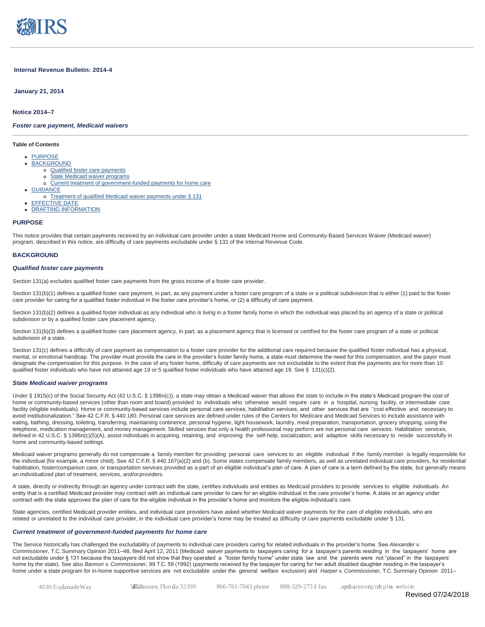

### **Internal Revenue Bulletin: 2014-4**

**January 21, 2014**

**Notice 2014–7**

## *Foster care payment, Medicaid waivers*

### **Table of Contents**

- PURPOSE
- **BACKGROUND** 
	- Qualified foster care payments
	- State Medicaid waiver programs
	- Current treatment of government-funded payments for home care
- **GUIDANCE** 
	- o Treatment of qualified Medicaid waiver payments under § 131
- EFFECTIVE DATE
- DRAFTING INFORMATION

## **PURPOSE**

This notice provides that certain payments received by an individual care provider under a state Medicaid Home and Community-Based Services Waiver (Medicaid waiver) program, described in this notice, are difficulty of care payments excludable under § 131 of the Internal Revenue Code.

## **BACKGROUND**

#### *Qualified foster care payments*

Section 131(a) excludes qualified foster care payments from the gross income of a foster care provider.

Section 131(b)(1) defines a qualified foster care payment, in part, as any payment under a foster care program of a state or a political subdivision that is either (1) paid to the foster care provider for caring for a qualified foster individual in the foster care provider's home, or (2) a difficulty of care payment.

Section 131(b)(2) defines a qualified foster individual as any individual who is living in a foster family home in which the individual was placed by an agency of a state or political subdivision or by a qualified foster care placement agency.

Section 131(b)(3) defines a qualified foster care placement agency, in part, as a placement agency that is licensed or certified for the foster care program of a state or political subdivision of a state.

Section 131(c) defines a difficulty of care payment as compensation to a foster care provider for the additional care required because the qualified foster individual has a physical, mental, or emotional handicap. The provider must provide the care in the provider's foster family home, a state must determine the need for this compensation, and the payor must designate the compensation for this purpose. In the case of any foster home, difficulty of care payments are not excludable to the extent that the payments are for more than 10 qualified foster individuals who have not attained age 19 or 5 qualified foster individuals who have attained age 19. See § 131(c)(2).

#### *State Medicaid waiver programs*

Under § 1915(c) of the Social Security Act (42 U.S.C. § 1396n(c)), a state may obtain a Medicaid waiver that allows the state to include in the state's Medicaid program the cost of home or community-based services (other than room and board) provided to individuals who otherwise would require care in a hospital, nursing facility, or intermediate care facility (eligible individuals). Home or community-based services include personal care services, habilitation services, and other services that are "cost effective and necessary to avoid institutionalization." See 42 C.F.R. § 440.180. Personal care services are defined under rules of the Centers for Medicare and Medicaid Services to include assistance with eating, bathing, dressing, toileting, transferring, maintaining continence, personal hygiene, light housework, laundry, meal preparation, transportation, grocery shopping, using the telephone, medication management, and money management. Skilled services that only a health professional may perform are not personal care services. Habilitation services, defined in 42 U.S.C. § 1396n(c)(5)(A), assist individuals in acquiring, retaining, and improving the self-help, socialization, and adaptive skills necessary to reside successfully in home and community-based settings.

Medicaid waiver programs generally do not compensate a family member for providing personal care services to an eligible individual if the family member is legally responsible for the individual (for example, a minor child). See 42 C.F.R. § 440.167(a)(2) and (b). Some states compensate family members, as well as unrelated individual care providers, for residential habilitation, foster/companion care, or transportation services provided as a part of an eligible individual's plan of care. A plan of care is a term defined by the state, but generally means an individualized plan of treatment, services, and/orproviders.

A state, directly or indirectly through an agency under contract with the state, certifies individuals and entities as Medicaid providers to provide services to eligible individuals. An entity that is a certified Medicaid provider may contract with an individual care provider to care for an eligible individual in the care provider's home. A state or an agency under contract with the state approves the plan of care for the eligible individual in the provider's home and monitors the eligible individual's care.

State agencies, certified Medicaid provider entities, and individual care providers have asked whether Medicaid waiver payments for the care of eligible individuals, who are related or unrelated to the individual care provider, in the individual care provider's home may be treated as difficulty of care payments excludable under § 131.

### *Current treatment of government-funded payments for home care*

The Service historically has challenged the excludability of payments to individual care providers caring for related individuals in the provider's home. See *Alexander v. Commissioner*, T.C. Summary Opinion 2011–48, filed April 12, 2011 (Medicaid waiver payments to taxpayers caring for a taxpayer's parents residing in the taxpayers' home are not excludable under § 131 because the taxpayers did not show that they operated a "foster family home" under state law and the parents were not "placed" in the taxpayers' home by the state). See also *Bannon v. Commissioner*, 99 T.C. 59 (1992) (payments received by the taxpayer for caring for her adult disabled daughter residing in the taxpayer's home under a state program for in-home supportive services are not excludable under the general welfare exclusion) and *Harper v. Commissioner*, T.C. Summary Opinion 2011–

4030 Esplanade Way Tallahassee, Flon da 32399 866-761-7043 phone 888-329-273 1 fax apdcares.org/cdcplus website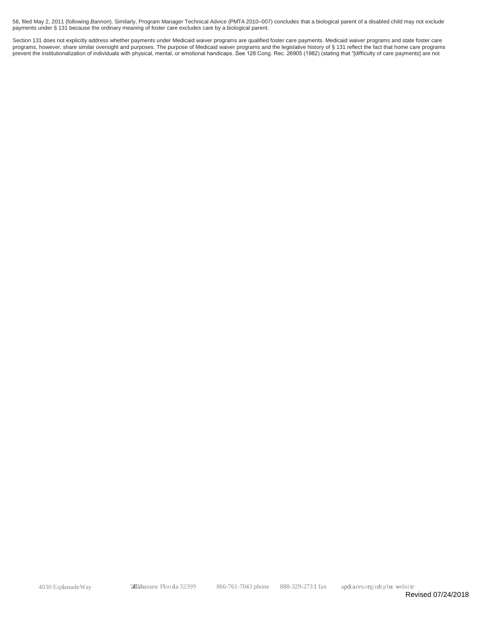56, filed May 2, 2011 (following *Bannon*). Similarly, Program Manager Technical Advice (PMTA 2010–007) concludes that a biological parent of a disabled child may not exclude payments under § 131 because the ordinary meaning of foster care excludes care by a biological parent.

Section 131 does not explicitly address whether payments under Medicaid waiver programs are qualified foster care payments. Medicaid waiver programs and state foster care programs, however, share similar oversight and purposes. The purpose of Medicaid waiver programs and the legislative history of § 131 reflect the fact that home care programs prevent the institutionalization of individuals with physical, mental, or emotional handicaps. See 128 Cong. Rec. 26905 (1982) (stating that "[difficulty of care payments] are not

<sup>4030</sup> EsplanadeWay Tallahassee, Flon da <sup>32399</sup> 866-761-7043 phone 888-329-273 <sup>1</sup> fax apdcares.org/cdcplus websi te